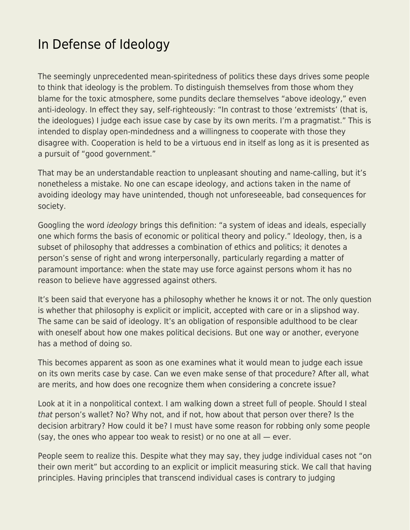## [In Defense of Ideology](https://everything-voluntary.com/in-defense-of-ideology)

The seemingly unprecedented mean-spiritedness of politics these days drives some people to think that ideology is the problem. To distinguish themselves from those whom they blame for the toxic atmosphere, some pundits declare themselves "above ideology," even anti-ideology. In effect they say, self-righteously: "In contrast to those 'extremists' (that is, the ideologues) I judge each issue case by case by its own merits. I'm a pragmatist." This is intended to display open-mindedness and a willingness to cooperate with those they disagree with. Cooperation is held to be a virtuous end in itself as long as it is presented as a pursuit of "good government."

That may be an understandable reaction to unpleasant shouting and name-calling, but it's nonetheless a mistake. No one can escape ideology, and actions taken in the name of avoiding ideology may have unintended, though not unforeseeable, bad consequences for society.

Googling the word ideology brings this definition: "a system of ideas and ideals, especially one which forms the basis of economic or political theory and policy." Ideology, then, is a subset of philosophy that addresses a combination of ethics and politics; it denotes a person's sense of right and wrong interpersonally, particularly regarding a matter of paramount importance: when the state may use force against persons whom it has no reason to believe have aggressed against others.

It's been said that everyone has a philosophy whether he knows it or not. The only question is whether that philosophy is explicit or implicit, accepted with care or in a slipshod way. The same can be said of ideology. It's an obligation of responsible adulthood to be clear with oneself about how one makes political decisions. But one way or another, everyone has a method of doing so.

This becomes apparent as soon as one examines what it would mean to judge each issue on its own merits case by case. Can we even make sense of that procedure? After all, what are merits, and how does one recognize them when considering a concrete issue?

Look at it in a nonpolitical context. I am walking down a street full of people. Should I steal that person's wallet? No? Why not, and if not, how about that person over there? Is the decision arbitrary? How could it be? I must have some reason for robbing only some people (say, the ones who appear too weak to resist) or no one at all — ever.

People seem to realize this. Despite what they may say, they judge individual cases not "on their own merit" but according to an explicit or implicit measuring stick. We call that having principles. Having principles that transcend individual cases is contrary to judging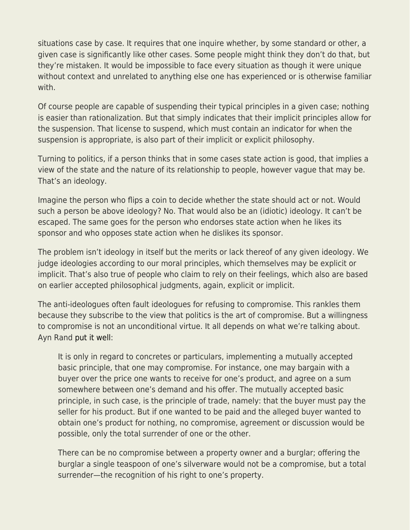situations case by case. It requires that one inquire whether, by some standard or other, a given case is significantly like other cases. Some people might think they don't do that, but they're mistaken. It would be impossible to face every situation as though it were unique without context and unrelated to anything else one has experienced or is otherwise familiar with.

Of course people are capable of suspending their typical principles in a given case; nothing is easier than rationalization. But that simply indicates that their implicit principles allow for the suspension. That license to suspend, which must contain an indicator for when the suspension is appropriate, is also part of their implicit or explicit philosophy.

Turning to politics, if a person thinks that in some cases state action is good, that implies a view of the state and the nature of its relationship to people, however vague that may be. That's an ideology.

Imagine the person who flips a coin to decide whether the state should act or not. Would such a person be above ideology? No. That would also be an (idiotic) ideology. It can't be escaped. The same goes for the person who endorses state action when he likes its sponsor and who opposes state action when he dislikes its sponsor.

The problem isn't ideology in itself but the merits or lack thereof of any given ideology. We judge ideologies according to our moral principles, which themselves may be explicit or implicit. That's also true of people who claim to rely on their feelings, which also are based on earlier accepted philosophical judgments, again, explicit or implicit.

The anti-ideologues often fault ideologues for refusing to compromise. This rankles them because they subscribe to the view that politics is the art of compromise. But a willingness to compromise is not an unconditional virtue. It all depends on what we're talking about. Ayn Rand [put it well](http://aynrandlexicon.com/lexicon/compromise.html#:~:text=There%20can%20be%20no%20compromise,of%20truth%2C%20of%20rational%20conviction.&text=It%20is%20only%20in%20regard,principle%2C%20that%20one%20may%20compromise.):

It is only in regard to concretes or particulars, implementing a mutually accepted basic principle, that one may compromise. For instance, one may bargain with a buyer over the price one wants to receive for one's product, and agree on a sum somewhere between one's demand and his offer. The mutually accepted basic principle, in such case, is the principle of trade, namely: that the buyer must pay the seller for his product. But if one wanted to be paid and the alleged buyer wanted to obtain one's product for nothing, no compromise, agreement or discussion would be possible, only the total surrender of one or the other.

There can be no compromise between a property owner and a burglar; offering the burglar a single teaspoon of one's silverware would not be a compromise, but a total surrender—the recognition of his right to one's property.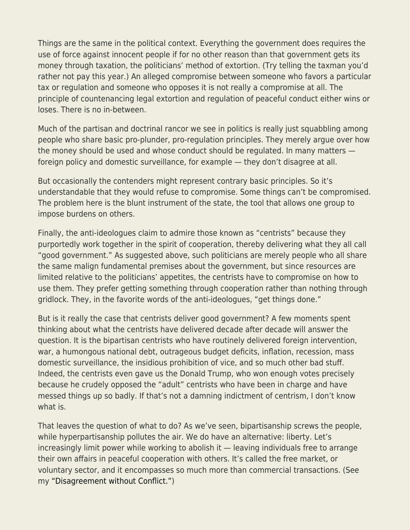Things are the same in the political context. Everything the government does requires the use of force against innocent people if for no other reason than that government gets its money through taxation, the politicians' method of extortion. (Try telling the taxman you'd rather not pay this year.) An alleged compromise between someone who favors a particular tax or regulation and someone who opposes it is not really a compromise at all. The principle of countenancing legal extortion and regulation of peaceful conduct either wins or loses. There is no in-between.

Much of the partisan and doctrinal rancor we see in politics is really just squabbling among people who share basic pro-plunder, pro-regulation principles. They merely argue over how the money should be used and whose conduct should be regulated. In many matters foreign policy and domestic surveillance, for example — they don't disagree at all.

But occasionally the contenders might represent contrary basic principles. So it's understandable that they would refuse to compromise. Some things can't be compromised. The problem here is the blunt instrument of the state, the tool that allows one group to impose burdens on others.

Finally, the anti-ideologues claim to admire those known as "centrists" because they purportedly work together in the spirit of cooperation, thereby delivering what they all call "good government." As suggested above, such politicians are merely people who all share the same malign fundamental premises about the government, but since resources are limited relative to the politicians' appetites, the centrists have to compromise on how to use them. They prefer getting something through cooperation rather than nothing through gridlock. They, in the favorite words of the anti-ideologues, "get things done."

But is it really the case that centrists deliver good government? A few moments spent thinking about what the centrists have delivered decade after decade will answer the question. It is the bipartisan centrists who have routinely delivered foreign intervention, war, a humongous national debt, outrageous budget deficits, inflation, recession, mass domestic surveillance, the insidious prohibition of vice, and so much other bad stuff. Indeed, the centrists even gave us the Donald Trump, who won enough votes precisely because he crudely opposed the "adult" centrists who have been in charge and have messed things up so badly. If that's not a damning indictment of centrism, I don't know what is

That leaves the question of what to do? As we've seen, bipartisanship screws the people, while hyperpartisanship pollutes the air. We do have an alternative: liberty. Let's increasingly limit power while working to abolish it — leaving individuals free to arrange their own affairs in peaceful cooperation with others. It's called the free market, or voluntary sector, and it encompasses so much more than commercial transactions. (See my ["Disagreement without Conflict."](https://libertarianinstitute.org/articles/tgif-disagreement-without-conflict/))